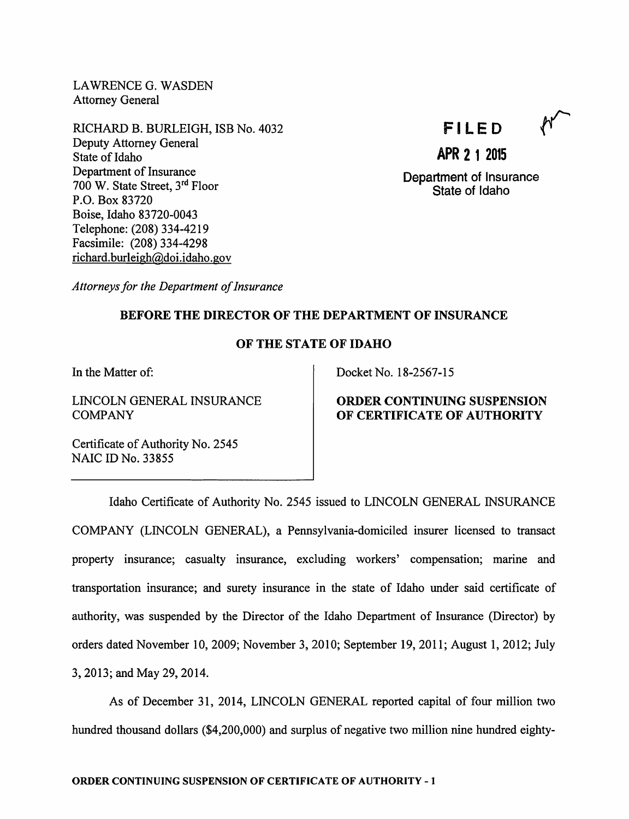LAWRENCE G. WASDEN Attorney General

RICHARD B. BURLEIGH, ISB No. 4032 Deputy Attorney General State of Idaho Department of Insurance 700 W. State Street, 3<sup>rd</sup> Floor P.O. Box 83720 Boise, Idaho 83720-0043 Telephone: (208) 334-4219 Facsimile: (208) 334-4298 richard.burleigh@doi.idaho.gov

# FILED

Department of Insurance State of Idaho

APR 2 1 2015

Attorneys for the Department of Insurance

## BEFORE THE DIRECTOR OF THE DEPARTMENT OF INSURANCE

### OF THE STATE OF IDAHO

In the Matter of:

LINCOLN GENERAL INSURANCE COMPANY

Docket No. 18-2567-15

# ORDER CONTINUING SUSPENSION OF CERTIFICATE OF AUTHORITY

Certificate of Authority No. 2545 NAIC ID No. 33855

Idaho Certificate of Authority No. 2545 issued to LINCOLN GENERAL INSURANCE COMPANY (LINCOLN GENERAL), a Pennsylvania-domiciled insurer licensed to transact property insurance; casualty insurance, excluding workers' compensation; marine and transportation insurance; and surety insurance in the state of Idaho under said certificate of authority, was suspended by the Director of the Idaho Department of Insurance (Director) by orders dated November 10, 2009; November 3, 2010; September 19, 2011; August 1, 2012; July 3,2013; and May 29, 2014.

As of December 31, 2014, LINCOLN GENERAL reported capital of four million two hundred thousand dollars (\$4,200,000) and surplus of negative two million nine hundred eighty-

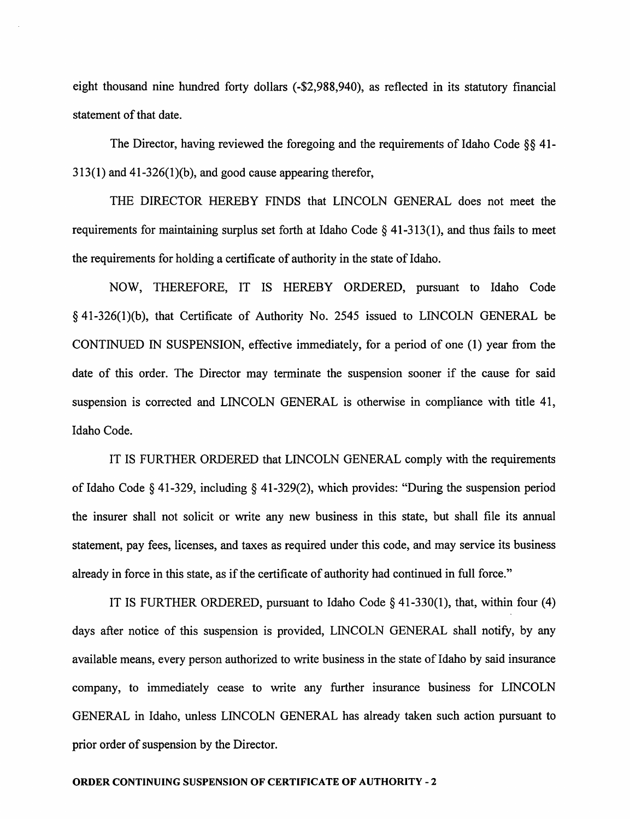eight thousand nine hundred forty dollars (-\$2,988,940), as reflected in its statutory financial statement of that date.

The Director, having reviewed the foregoing and the requirements of Idaho Code  $\S$ § 41- $313(1)$  and  $41-326(1)(b)$ , and good cause appearing therefor,

THE DIRECTOR HEREBY FINDS that LINCOLN GENERAL does not meet the requirements for maintaining surplus set forth at Idaho Code  $\S$  41-313(1), and thus fails to meet the requirements for holding a certificate of authority in the state of Idaho.

NOW, THEREFORE, IT IS HEREBY ORDERED, pursuant to Idaho Code § 41-326(1)(b), that Certificate of Authority No. 2545 issued to LINCOLN GENERAL be CONTINUED IN SUSPENSION, effective immediately, for a period of one (1) year from the date of this order. The Director may terminate the suspension sooner if the cause for said suspension is corrected and LINCOLN GENERAL is otherwise in compliance with title 41, Idaho Code.

IT IS FURTHER ORDERED that LINCOLN GENERAL comply with the requirements of Idaho Code § 41-329, including § 41-329(2), which provides: "During the suspension period the insurer shall not solicit or write any new business in this state, but shall file its annual statement, pay fees, licenses, and taxes as required under this code, and may service its business already in force in this state, as if the certificate of authority had continued in full force."

IT IS FURTHER ORDERED, pursuant to Idaho Code  $\S$  41-330(1), that, within four (4) days after notice of this suspension is provided, LINCOLN GENERAL shall notify, by any available means, every person authorized to write business in the state of Idaho by said insurance company, to immediately cease to write any further insurance business for LINCOLN GENERAL in Idaho, unless LINCOLN GENERAL has already taken such action pursuant to prior order of suspension by the Director.

#### **ORDER CONTINUING SUSPENSION OF CERTIFICATE OF AUTHORITY - 2**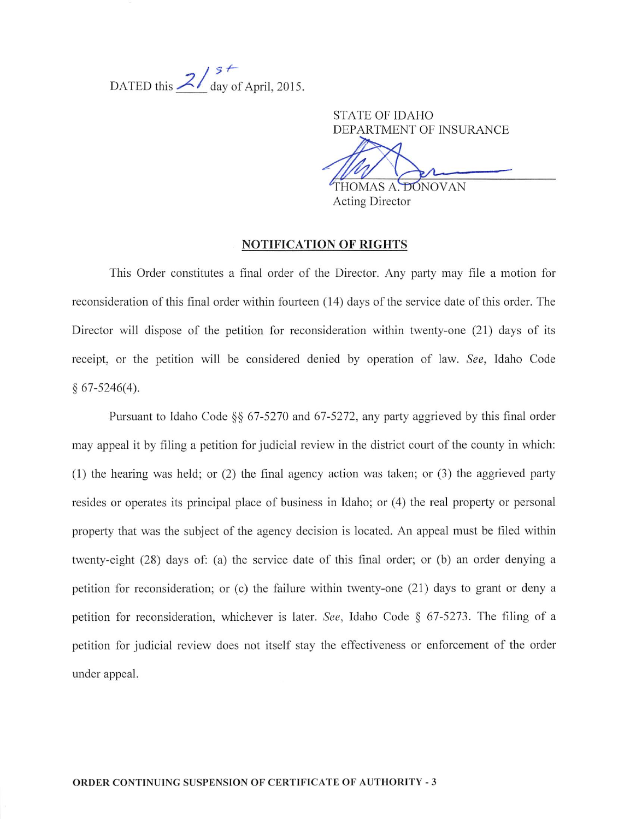DATED this  $2/\frac{s+1}{\text{day of April, 2015.}}$ 

**STATE OF IDAHO** DEPARTMENT OF INSURANCE

THOMAS A. DONOVAN

**Acting Director** 

# **NOTIFICATION OF RIGHTS**

This Order constitutes a final order of the Director. Any party may file a motion for reconsideration of this final order within fourteen (14) days of the service date of this order. The Director will dispose of the petition for reconsideration within twenty-one (21) days of its receipt, or the petition will be considered denied by operation of law. See, Idaho Code  $§ 67-5246(4).$ 

Pursuant to Idaho Code §§ 67-5270 and 67-5272, any party aggrieved by this final order may appeal it by filing a petition for judicial review in the district court of the county in which:  $(1)$  the hearing was held; or  $(2)$  the final agency action was taken; or  $(3)$  the aggrieved party resides or operates its principal place of business in Idaho; or (4) the real property or personal property that was the subject of the agency decision is located. An appeal must be filed within twenty-eight (28) days of: (a) the service date of this final order; or (b) an order denying a petition for reconsideration; or (c) the failure within twenty-one (21) days to grant or deny a petition for reconsideration, whichever is later. See, Idaho Code § 67-5273. The filing of a petition for judicial review does not itself stay the effectiveness or enforcement of the order under appeal.